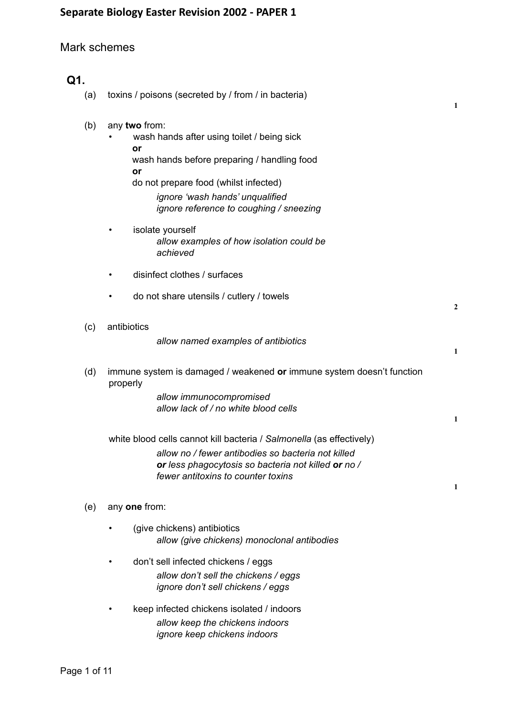## Mark schemes

# **Q1.** (a) toxins / poisons (secreted by / from / in bacteria) **1** (b) any **two** from: wash hands after using toilet / being sick **or** wash hands before preparing / handling food **or** do not prepare food (whilst infected) *ignore 'wash hands' unqualified ignore reference to coughing / sneezing* isolate yourself *allow examples of how isolation could be achieved* disinfect clothes / surfaces do not share utensils / cutlery / towels **2** (c) antibiotics *allow named examples of antibiotics* **1** (d) immune system is damaged / weakened **or** immune system doesn't function properly *allow immunocompromised allow lack of / no white blood cells* **1** white blood cells cannot kill bacteria / *Salmonella* (as effectively) *allow no / fewer antibodies so bacteria not killed or less phagocytosis so bacteria not killed or no / fewer antitoxins to counter toxins* **1** (e) any **one** from: • (give chickens) antibiotics *allow (give chickens) monoclonal antibodies* • don't sell infected chickens / eggs *allow don't sell the chickens / eggs ignore don't sell chickens / eggs* • keep infected chickens isolated / indoors *allow keep the chickens indoors ignore keep chickens indoors*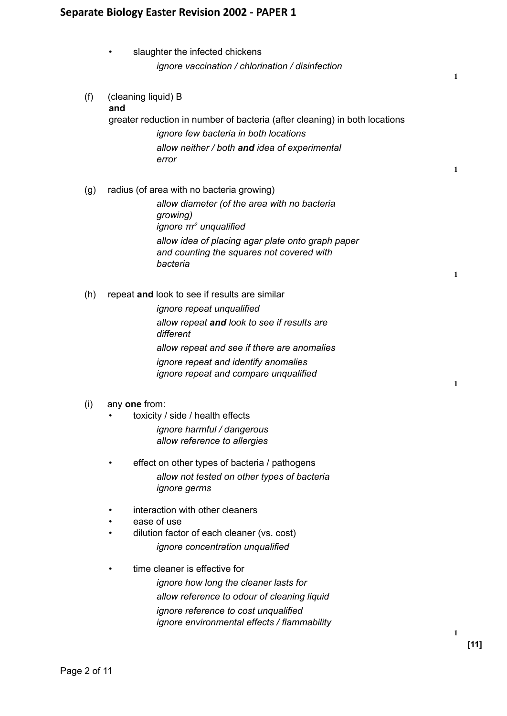slaughter the infected chickens *ignore vaccination / chlorination / disinfection* **1** (f) (cleaning liquid) B **and** greater reduction in number of bacteria (after cleaning) in both locations *ignore few bacteria in both locations allow neither / both and idea of experimental error* **1** (g) radius (of area with no bacteria growing) *allow diameter (of the area with no bacteria growing) ignore πr <sup>2</sup> unqualified allow idea of placing agar plate onto graph paper and counting the squares not covered with bacteria* **1** (h) repeat **and** look to see if results are similar *ignore repeat unqualified allow repeat and look to see if results are different allow repeat and see if there are anomalies ignore repeat and identify anomalies ignore repeat and compare unqualified* **1** (i) any **one** from: toxicity / side / health effects *ignore harmful / dangerous allow reference to allergies* effect on other types of bacteria / pathogens *allow not tested on other types of bacteria ignore germs* interaction with other cleaners ease of use • dilution factor of each cleaner (vs. cost) *ignore concentration unqualified* time cleaner is effective for *ignore how long the cleaner lasts for allow reference to odour of cleaning liquid ignore reference to cost unqualified ignore environmental effects / flammability* **1**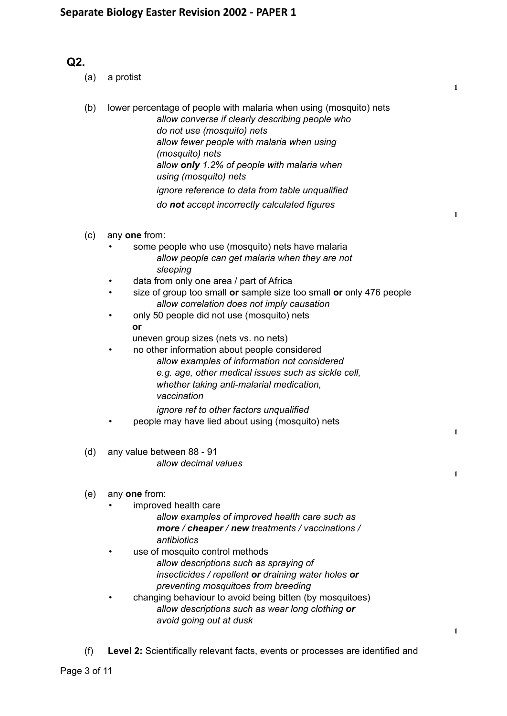# **Q2.**

- (a) a protist
- (b) lower percentage of people with malaria when using (mosquito) nets *allow converse if clearly describing people who do not use (mosquito) nets allow fewer people with malaria when using (mosquito) nets allow only 1.2% of people with malaria when using (mosquito) nets ignore reference to data from table unqualified do not accept incorrectly calculated figures*

**1**

**1**

**1**

**1**

**1**

- (c) any **one** from:
	- some people who use (mosquito) nets have malaria *allow people can get malaria when they are not sleeping*
	- data from only one area / part of Africa
	- size of group too small **or** sample size too small **or** only 476 people *allow correlation does not imply causation*
	- only 50 people did not use (mosquito) nets **or**
		- uneven group sizes (nets vs. no nets)
	- no other information about people considered *allow examples of information not considered e.g. age, other medical issues such as sickle cell, whether taking anti-malarial medication, vaccination*
		- *ignore ref to other factors unqualified*
	- people may have lied about using (mosquito) nets
- (d) any value between 88 91 *allow decimal values*

## (e) any **one** from:

- improved health care
	- *allow examples of improved health care such as more / cheaper / new treatments / vaccinations / antibiotics*
	- use of mosquito control methods *allow descriptions such as spraying of insecticides / repellent or draining water holes or preventing mosquitoes from breeding*
- changing behaviour to avoid being bitten (by mosquitoes) *allow descriptions such as wear long clothing or avoid going out at dusk*
- (f) **Level 2:** Scientifically relevant facts, events or processes are identified and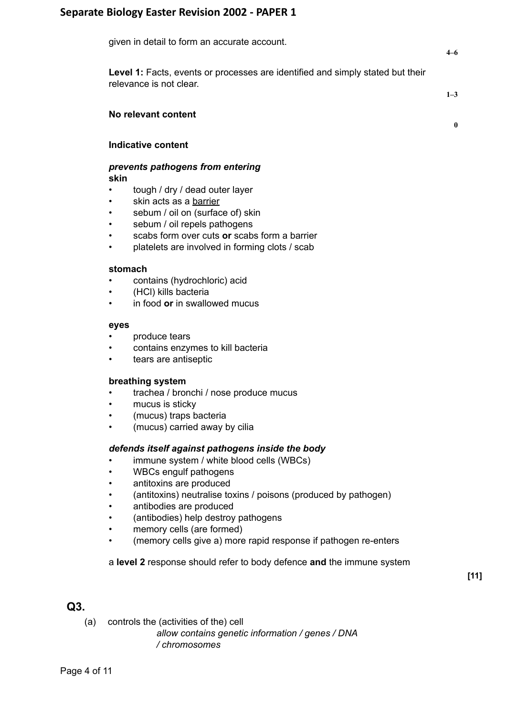| given in detail to form an accurate account.                                                                     |              |
|------------------------------------------------------------------------------------------------------------------|--------------|
| <b>Level 1:</b> Facts, events or processes are identified and simply stated but their<br>relevance is not clear. | $1 - 3$      |
| No relevant content                                                                                              | $\mathbf{0}$ |
| Indicative content                                                                                               |              |

#### *prevents pathogens from entering* **skin**

- tough / dry / dead outer layer
- skin acts as a barrier
- sebum / oil on (surface of) skin
- sebum / oil repels pathogens
- scabs form over cuts or scabs form a barrier
- platelets are involved in forming clots / scab

#### **stomach**

- contains (hydrochloric) acid
- (HCl) kills bacteria
- in food **or** in swallowed mucus

#### **eyes**

- produce tears
- contains enzymes to kill bacteria
- tears are antiseptic

### **breathing system**

- trachea / bronchi / nose produce mucus
- mucus is sticky
- (mucus) traps bacteria
- (mucus) carried away by cilia

### *defends itself against pathogens inside the body*

- immune system / white blood cells (WBCs)
- WBCs engulf pathogens
- antitoxins are produced
- (antitoxins) neutralise toxins / poisons (produced by pathogen)
- antibodies are produced
- (antibodies) help destroy pathogens
- memory cells (are formed)
- (memory cells give a) more rapid response if pathogen re-enters

### a **level 2** response should refer to body defence **and** the immune system

(a) controls the (activities of the) cell

*allow contains genetic information / genes / DNA / chromosomes*

**[11]**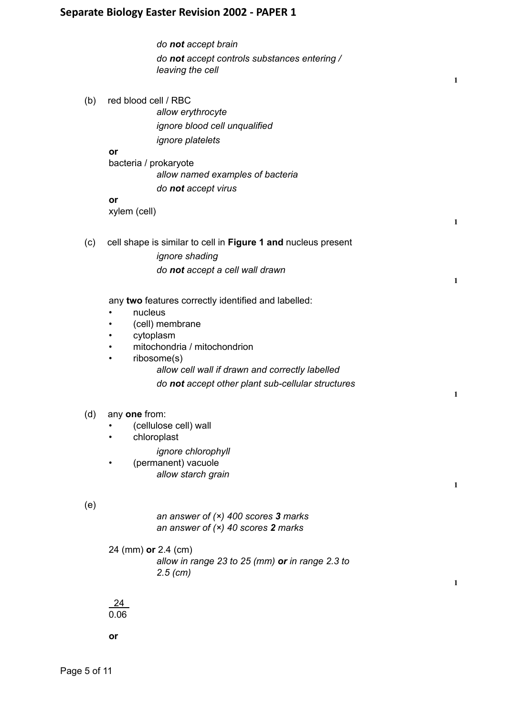| arate biology caster Revision 2002 - PAPER I                                                                                                                                                                                                                    |
|-----------------------------------------------------------------------------------------------------------------------------------------------------------------------------------------------------------------------------------------------------------------|
| do not accept brain<br>do not accept controls substances entering /<br>leaving the cell                                                                                                                                                                         |
| red blood cell / RBC<br>allow erythrocyte<br>ignore blood cell unqualified<br><i>ignore platelets</i><br>or<br>bacteria / prokaryote<br>allow named examples of bacteria<br>do not accept virus<br>or<br>xylem (cell)                                           |
| cell shape is similar to cell in Figure 1 and nucleus present<br><i>ignore</i> shading<br>do not accept a cell wall drawn                                                                                                                                       |
| any two features correctly identified and labelled:<br>nucleus<br>(cell) membrane<br>cytoplasm<br>mitochondria / mitochondrion<br>٠<br>ribosome(s)<br>٠<br>allow cell wall if drawn and correctly labelled<br>do not accept other plant sub-cellular structures |
| any one from:<br>(cellulose cell) wall<br>chloroplast<br>ignore chlorophyll<br>(permanent) vacuole<br>allow starch grain                                                                                                                                        |
| an answer of $(x)$ 400 scores 3 marks<br>an answer of $(x)$ 40 scores 2 marks<br>24 (mm) or 2.4 (cm)<br>allow in range 23 to 25 ( $mm$ ) or in range 2.3 to<br>$2.5$ (cm)                                                                                       |
|                                                                                                                                                                                                                                                                 |

**1**

**1**

**1**

**1**

**1**

**1**

24 0.06

**or**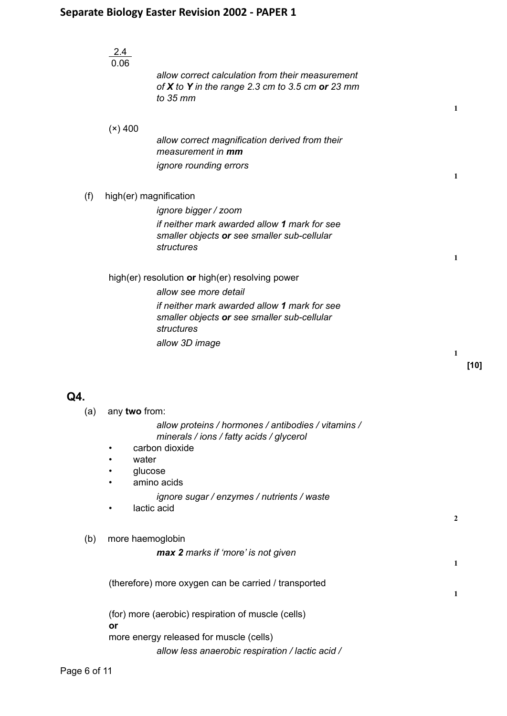|     | 2.4                                                                                         |              |
|-----|---------------------------------------------------------------------------------------------|--------------|
|     | 0.06                                                                                        |              |
|     | allow correct calculation from their measurement                                            |              |
|     | of X to Y in the range 2.3 cm to 3.5 cm or 23 mm                                            |              |
|     | to $35$ mm                                                                                  |              |
|     |                                                                                             | $\mathbf{1}$ |
|     |                                                                                             |              |
|     | $(x)$ 400                                                                                   |              |
|     | allow correct magnification derived from their                                              |              |
|     | measurement in mm                                                                           |              |
|     | ignore rounding errors                                                                      |              |
|     |                                                                                             | $\mathbf{1}$ |
|     |                                                                                             |              |
| (f) | high(er) magnification                                                                      |              |
|     | ignore bigger / zoom                                                                        |              |
|     | if neither mark awarded allow 1 mark for see                                                |              |
|     | smaller objects or see smaller sub-cellular                                                 |              |
|     | structures                                                                                  |              |
|     |                                                                                             | $\mathbf{1}$ |
|     |                                                                                             |              |
|     | high(er) resolution or high(er) resolving power                                             |              |
|     | allow see more detail                                                                       |              |
|     | if neither mark awarded allow 1 mark for see                                                |              |
|     | smaller objects or see smaller sub-cellular                                                 |              |
|     | structures                                                                                  |              |
|     |                                                                                             |              |
|     | allow 3D image                                                                              | $\mathbf{1}$ |
|     |                                                                                             |              |
|     |                                                                                             |              |
|     |                                                                                             |              |
|     |                                                                                             |              |
|     |                                                                                             |              |
| Q4. |                                                                                             |              |
| (a) | any two from:                                                                               |              |
|     | allow proteins / hormones / antibodies / vitamins /                                         |              |
|     | minerals / ions / fatty acids / glycerol                                                    |              |
|     | carbon dioxide                                                                              |              |
|     | water                                                                                       |              |
|     | glucose                                                                                     |              |
|     | amino acids                                                                                 |              |
|     | ignore sugar / enzymes / nutrients / waste                                                  |              |
|     |                                                                                             |              |
|     | lactic acid                                                                                 | $\mathbf{2}$ |
|     |                                                                                             |              |
| (b) | more haemoglobin                                                                            |              |
|     | max 2 marks if 'more' is not given                                                          |              |
|     |                                                                                             | 1            |
|     |                                                                                             |              |
|     | (therefore) more oxygen can be carried / transported                                        |              |
|     |                                                                                             | 1            |
|     |                                                                                             |              |
|     | (for) more (aerobic) respiration of muscle (cells)                                          |              |
|     | or                                                                                          |              |
|     | more energy released for muscle (cells)<br>allow less anaerobic respiration / lactic acid / |              |

**[10]**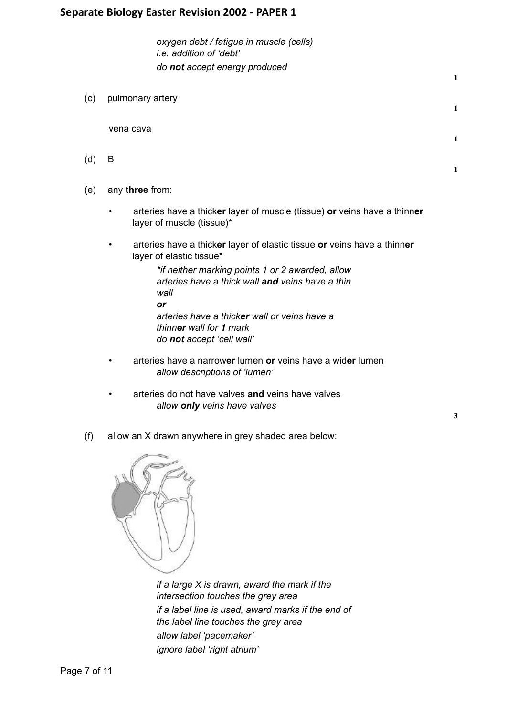*oxygen debt / fatigue in muscle (cells) i.e. addition of 'debt' do not accept energy produced*

(c) pulmonary artery

vena cava

- (d) B
- (e) any **three** from:
	- arteries have a thick**er** layer of muscle (tissue) **or** veins have a thinn**er** layer of muscle (tissue)\*
	- arteries have a thick**er** layer of elastic tissue **or** veins have a thinn**er** layer of elastic tissue\*

*\*if neither marking points 1 or 2 awarded, allow arteries have a thick wall and veins have a thin wall or arteries have a thicker wall or veins have a thinner wall for 1 mark do not accept 'cell wall'*

- arteries have a narrow**er** lumen **or** veins have a wid**er** lumen *allow descriptions of 'lumen'*
- arteries do not have valves **and** veins have valves *allow only veins have valves*

**3**

**1**

**1**

**1**

**1**

(f) allow an X drawn anywhere in grey shaded area below:



*if a large X is drawn, award the mark if the intersection touches the grey area if a label line is used, award marks if the end of the label line touches the grey area allow label 'pacemaker' ignore label 'right atrium'*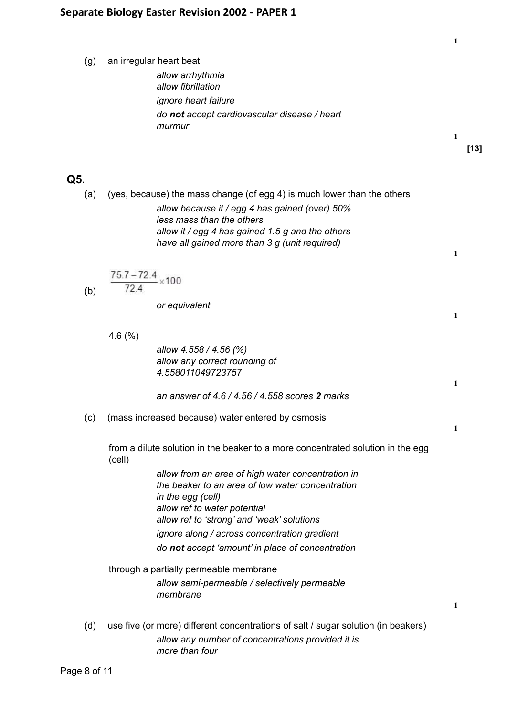(g) an irregular heart beat

*allow arrhythmia allow fibrillation ignore heart failure do not accept cardiovascular disease / heart murmur*

**1**

**1**

**1**

**1**

**1**

**1**

**1**

**[13]**

# **Q5.**

(a) (yes, because) the mass change (of egg 4) is much lower than the others *allow because it / egg 4 has gained (over) 50% less mass than the others allow it / egg 4 has gained 1.5 g and the others have all gained more than 3 g (unit required)*

 $\frac{75.7 - 72.4}{72.4} \times 100$ (b)

*or equivalent*

4.6 (%)

*allow 4.558 / 4.56 (%) allow any correct rounding of 4.558011049723757*

*an answer of 4.6 / 4.56 / 4.558 scores 2 marks*

(c) (mass increased because) water entered by osmosis

from a dilute solution in the beaker to a more concentrated solution in the egg (cell)

> *allow from an area of high water concentration in the beaker to an area of low water concentration in the egg (cell) allow ref to water potential allow ref to 'strong' and 'weak' solutions ignore along / across concentration gradient do not accept 'amount' in place of concentration*

through a partially permeable membrane *allow semi-permeable / selectively permeable membrane*

(d) use five (or more) different concentrations of salt / sugar solution (in beakers) *allow any number of concentrations provided it is more than four*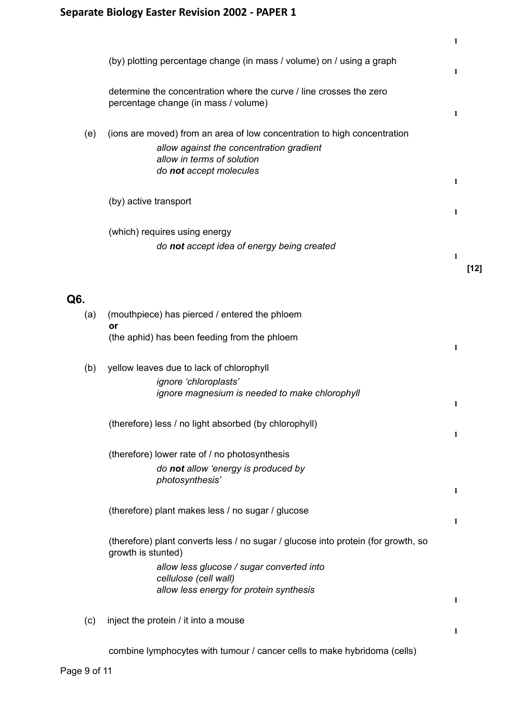|     |                                                                                                                                                                               | 1 |        |
|-----|-------------------------------------------------------------------------------------------------------------------------------------------------------------------------------|---|--------|
|     | (by) plotting percentage change (in mass / volume) on / using a graph                                                                                                         | 1 |        |
|     | determine the concentration where the curve / line crosses the zero<br>percentage change (in mass / volume)                                                                   | 1 |        |
| (e) | (ions are moved) from an area of low concentration to high concentration<br>allow against the concentration gradient<br>allow in terms of solution<br>do not accept molecules | 1 |        |
|     | (by) active transport                                                                                                                                                         | 1 |        |
|     | (which) requires using energy<br>do not accept idea of energy being created                                                                                                   | 1 | $[12]$ |
| Q6. |                                                                                                                                                                               |   |        |
| (a) | (mouthpiece) has pierced / entered the phloem<br>or                                                                                                                           |   |        |
|     | (the aphid) has been feeding from the phloem                                                                                                                                  | 1 |        |
| (b) | yellow leaves due to lack of chlorophyll<br>ignore 'chloroplasts'<br>ignore magnesium is needed to make chlorophyll                                                           | 1 |        |
|     | (therefore) less / no light absorbed (by chlorophyll)                                                                                                                         | 1 |        |
|     | (therefore) lower rate of / no photosynthesis<br>do not allow 'energy is produced by<br>photosynthesis'                                                                       | 1 |        |
|     | (therefore) plant makes less / no sugar / glucose                                                                                                                             | 1 |        |
|     | (therefore) plant converts less / no sugar / glucose into protein (for growth, so<br>growth is stunted)<br>allow less glucose / sugar converted into                          |   |        |
|     | cellulose (cell wall)<br>allow less energy for protein synthesis                                                                                                              | 1 |        |
| (c) | inject the protein / it into a mouse                                                                                                                                          | 1 |        |
|     | combine lymphocytes with tumour / cancer cells to make hybridoma (cells)                                                                                                      |   |        |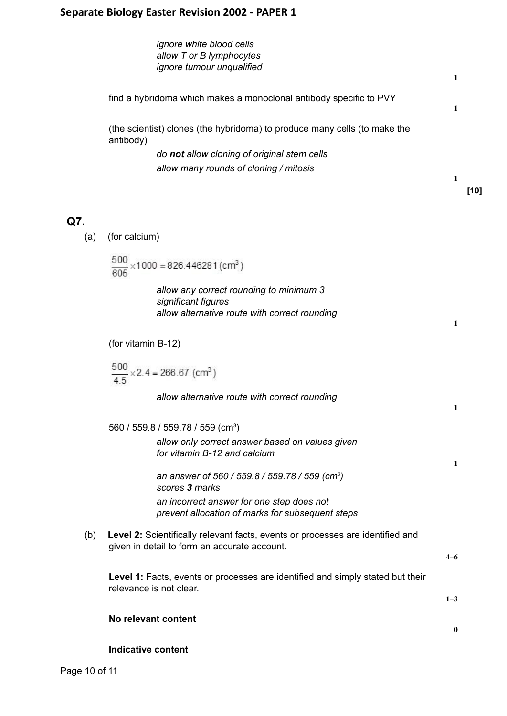*ignore white blood cells allow T or B lymphocytes ignore tumour unqualified*

find a hybridoma which makes a monoclonal antibody specific to PVY

(the scientist) clones (the hybridoma) to produce many cells (to make the antibody)

> *do not allow cloning of original stem cells allow many rounds of cloning / mitosis*

# **Q7.**

(a) (for calcium)

$$
\frac{500}{605} \times 1000 = 826.446281 \, \text{(cm}^3\text{)}
$$

*allow any correct rounding to minimum 3 significant figures allow alternative route with correct rounding*

(for vitamin B-12)

$$
\frac{500}{4.5} \times 2.4 = 266.67 \text{ (cm}^3\text{)}
$$

*allow alternative route with correct rounding*

560 / 559.8 / 559.78 / 559 (cm<sup>3</sup>)

*allow only correct answer based on values given for vitamin B-12 and calcium*

*an answer of 560 / 559.8 / 559.78 / 559 (cm<sup>3</sup> ) scores 3 marks an incorrect answer for one step does not prevent allocation of marks for subsequent steps*

(b) **Level 2:** Scientifically relevant facts, events or processes are identified and given in detail to form an accurate account.

**4−6**

**1**

**1**

**1**

**1**

**1**

**1**

**[10]**

**Level 1:** Facts, events or processes are identified and simply stated but their relevance is not clear.

**1−3**

**0**

### **No relevant content**

### **Indicative content**